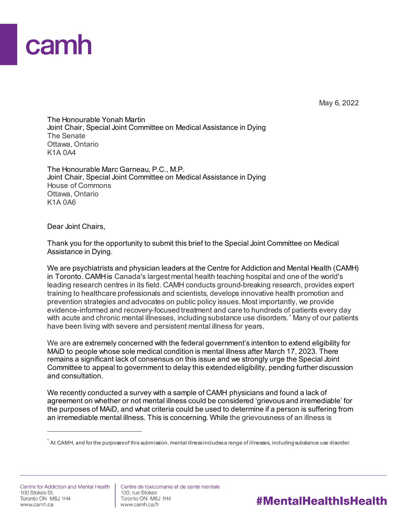## camh

May 6, 2022

#MentalHealthIsHealth

The Honourable Yonah Martin Joint Chair, Special Joint Committee on Medical Assistance in Dying The Senate Ottawa, Ontario K1A 0A4

The Honourable Marc Garneau, P.C., M.P. Joint Chair, Special Joint Committee on Medical Assistance in Dying House of Commons Ottawa, Ontario K1A 0A6

Dear Joint Chairs,

Thank you for the opportunity to submit this brief to the Special Joint Committee on Medical Assistance in Dying.

We are psychiatrists and physician leaders at the Centre for Addiction and Mental Health (CAMH) in Toronto. CAMH is Canada's largest mental health teaching hospital and one of the world's leading research centres in its field. CAMH conducts ground-breaking research, provides expert training to healthcare professionals and scientists, develops innovative health promotion and prevention strategies and advocates on public policy issues. Most importantly, we provide evidence-informed and recovery-focused treatment and care to hundreds of patients every day with acute and chronic mental illnesses, including substance use disorders.<sup>[\\*](#page-0-0)</sup> Many of our patients have been living with severe and persistent mental illness for years.

We are are extremely concerned with the federal government's intention to extend eligibility for MAiD to people whose sole medical condition is mental illness after March 17, 2023. There remains a significant lack of consensus on this issue and we strongly urge the Special Joint Committee to appeal to government to delay this extended eligibility, pending further discussion and consultation.

We recently conducted a survey with a sample of CAMH physicians and found a lack of agreement on whether or not mental illness could be considered 'grievous and irremediable' for the purposes of MAiD, and what criteria could be used to determine if a person is suffering from an irremediable mental illness. This is concerning. While the grievousness of an illness is

Centre de toxicomanie et de santé mentale 100. rue Stokes Toronto ON M6J 1H4 www.camh.ca/fr

<span id="page-0-0"></span>At CAMH, and for the purposes of this submission, mental illness includes a range of illnesses, including substance use disorder.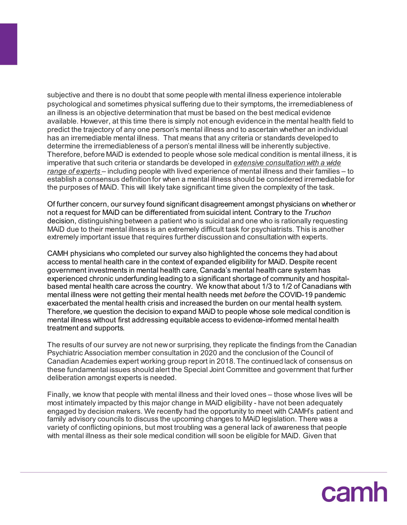subjective and there is no doubt that some people with mental illness experience intolerable psychological and sometimes physical suffering due to their symptoms, the irremediableness of an illness is an objective determination that must be based on the best medical evidence available. However, at this time there is simply not enough evidence in the mental health field to predict the trajectory of any one person's mental illness and to ascertain whether an individual has an irremediable mental illness. That means that any criteria or standards developed to determine the irremediableness of a person's mental illness will be inherently subjective. Therefore, before MAiD is extended to people whose sole medical condition is mental illness, it is imperative that such criteria or standards be developed in *extensive consultation with a wide range of experts* – including people with lived experience of mental illness and their families – to establish a consensus definition for when a mental illness should be considered irremediable for the purposes of MAiD. This will likely take significant time given the complexity of the task.

Of further concern, our survey found significant disagreement amongst physicians on whether or not a request for MAiD can be differentiated from suicidal intent. Contrary to the *Truchon* decision, distinguishing between a patient who is suicidal and one who is rationally requesting MAiD due to their mental illness is an extremely difficult task for psychiatrists. This is another extremely important issue that requires further discussion and consultation with experts.

CAMH physicians who completed our survey also highlighted the concerns they had about access to mental health care in the context of expanded eligibility for MAiD. Despite recent government investments in mental health care, Canada's mental health care system has experienced chronic underfunding leading to a significant shortage of community and hospitalbased mental health care across the country. We know that about 1/3 to 1/2 of Canadians with mental illness were not getting their mental health needs met *before* the COVID-19 pandemic exacerbated the mental health crisis and increased the burden on our mental health system. Therefore, we question the decision to expand MAiD to people whose sole medical condition is mental illness without first addressing equitable access to evidence-informed mental health treatment and supports.

The results of our survey are not new or surprising, they replicate the findings from the Canadian Psychiatric Association member consultation in 2020 and the conclusion of the Council of Canadian Academies expert working group report in 2018. The continued lack of consensus on these fundamental issues should alert the Special Joint Committee and government that further deliberation amongst experts is needed.

Finally, we know that people with mental illness and their loved ones – those whose lives will be most intimately impacted by this major change in MAiD eligibility - have not been adequately engaged by decision makers. We recently had the opportunity to meet with CAMH's patient and family advisory councils to discuss the upcoming changes to MAiD legislation. There was a variety of conflicting opinions, but most troubling was a general lack of awareness that people with mental illness as their sole medical condition will soon be eligible for MAiD. Given that

camh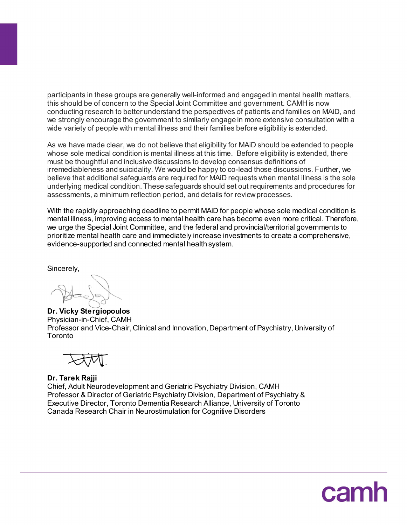participants in these groups are generally well-informed and engaged in mental health matters, this should be of concern to the Special Joint Committee and government. CAMH is now conducting research to better understand the perspectives of patients and families on MAiD, and we strongly encourage the government to similarly engage in more extensive consultation with a wide variety of people with mental illness and their families before eligibility is extended.

As we have made clear, we do not believe that eligibility for MAiD should be extended to people whose sole medical condition is mental illness at this time. Before eligibility is extended, there must be thoughtful and inclusive discussions to develop consensus definitions of irremediableness and suicidality. We would be happy to co-lead those discussions. Further, we believe that additional safeguards are required for MAiD requests when mental illness is the sole underlying medical condition. These safeguards should set out requirements and procedures for assessments, a minimum reflection period, and details for review processes.

With the rapidly approaching deadline to permit MAiD for people whose sole medical condition is mental illness, improving access to mental health care has become even more critical. Therefore, we urge the Special Joint Committee, and the federal and provincial/territorial governments to prioritize mental health care and immediately increase investments to create a comprehensive, evidence-supported and connected mental health system.

Sincerely,

**Dr. Vicky Stergiopoulos** Physician-in-Chief, CAMH Professor and Vice-Chair, Clinical and Innovation, Department of Psychiatry, University of Toronto



**Dr. Tarek Rajji** Chief, Adult Neurodevelopment and Geriatric Psychiatry Division, CAMH Professor & Director of Geriatric Psychiatry Division, Department of Psychiatry & Executive Director, Toronto Dementia Research Alliance, University of Toronto Canada Research Chair in Neurostimulation for Cognitive Disorders